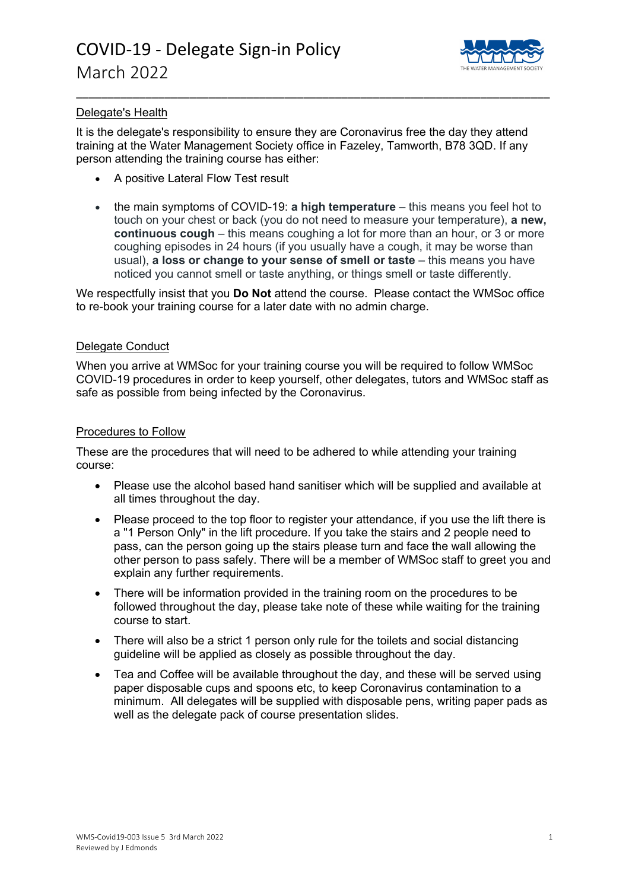

### Delegate's Health

It is the delegate's responsibility to ensure they are Coronavirus free the day they attend training at the Water Management Society office in Fazeley, Tamworth, B78 3QD. If any person attending the training course has either:

\_\_\_\_\_\_\_\_\_\_\_\_\_\_\_\_\_\_\_\_\_\_\_\_\_\_\_\_\_\_\_\_\_\_\_\_\_\_\_\_\_\_\_\_\_\_\_\_\_\_\_\_\_\_\_\_\_\_\_\_\_\_\_\_\_\_\_\_\_\_\_\_\_\_\_

- A positive Lateral Flow Test result
- the main symptoms of COVID-19: **a high temperature** this means you feel hot to touch on your chest or back (you do not need to measure your temperature), **a new, continuous cough** – this means coughing a lot for more than an hour, or 3 or more coughing episodes in 24 hours (if you usually have a cough, it may be worse than usual), **a loss or change to your sense of smell or taste** – this means you have noticed you cannot smell or taste anything, or things smell or taste differently.

We respectfully insist that you **Do Not** attend the course. Please contact the WMSoc office to re-book your training course for a later date with no admin charge.

### Delegate Conduct

When you arrive at WMSoc for your training course you will be required to follow WMSoc COVID-19 procedures in order to keep yourself, other delegates, tutors and WMSoc staff as safe as possible from being infected by the Coronavirus.

#### Procedures to Follow

These are the procedures that will need to be adhered to while attending your training course:

- Please use the alcohol based hand sanitiser which will be supplied and available at all times throughout the day.
- Please proceed to the top floor to register your attendance, if you use the lift there is a "1 Person Only" in the lift procedure. If you take the stairs and 2 people need to pass, can the person going up the stairs please turn and face the wall allowing the other person to pass safely. There will be a member of WMSoc staff to greet you and explain any further requirements.
- There will be information provided in the training room on the procedures to be followed throughout the day, please take note of these while waiting for the training course to start.
- There will also be a strict 1 person only rule for the toilets and social distancing guideline will be applied as closely as possible throughout the day.
- Tea and Coffee will be available throughout the day, and these will be served using paper disposable cups and spoons etc, to keep Coronavirus contamination to a minimum. All delegates will be supplied with disposable pens, writing paper pads as well as the delegate pack of course presentation slides.